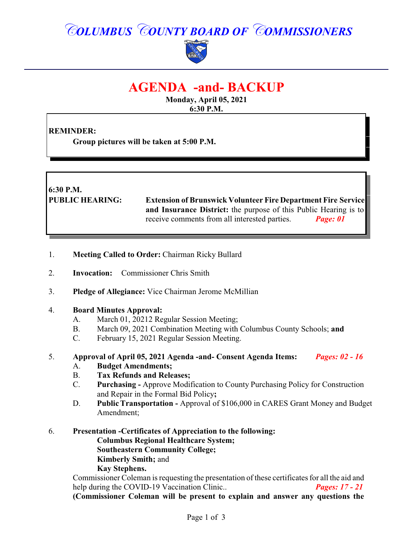# *COLUMBUS COUNTY BOARD OF COMMISSIONERS*



# **AGENDA -and- BACKUP**

**Monday, April 05, 2021 6:30 P.M.**

## **REMINDER:**

**Group pictures will be taken at 5:00 P.M.**

**6:30 P.M. PUBLIC HEARING: Extension of Brunswick Volunteer Fire Department Fire Service and Insurance District:** the purpose of this Public Hearing is to receive comments from all interested parties. *Page: 01*

- 1. **Meeting Called to Order:** Chairman Ricky Bullard
- 2. **Invocation:** Commissioner Chris Smith
- 3. **Pledge of Allegiance:** Vice Chairman Jerome McMillian

#### 4. **Board Minutes Approval:**

- A. March 01, 20212 Regular Session Meeting;
- B. March 09, 2021 Combination Meeting with Columbus County Schools; **and**
- C. February 15, 2021 Regular Session Meeting.

#### 5. **Approval of April 05, 2021 Agenda -and- Consent Agenda Items:** *Pages: 02 - 16*

- A. **Budget Amendments;**
- B. **Tax Refunds and Releases;**
- C. **Purchasing -** Approve Modification to County Purchasing Policy for Construction and Repair in the Formal Bid Policy**;**
- D. **Public Transportation** Approval of \$106,000 in CARES Grant Money and Budget Amendment;
- 6. **Presentation -Certificates of Appreciation to the following: Columbus Regional Healthcare System; Southeastern Community College; Kimberly Smith;** and **Kay Stephens.**

Commissioner Coleman is requesting the presentation of these certificates for all the aid and<br>help during the COVID-19 Vaccination Clinic.. Pages: 17 - 21 help during the COVID-19 Vaccination Clinic.. **(Commissioner Coleman will be present to explain and answer any questions the**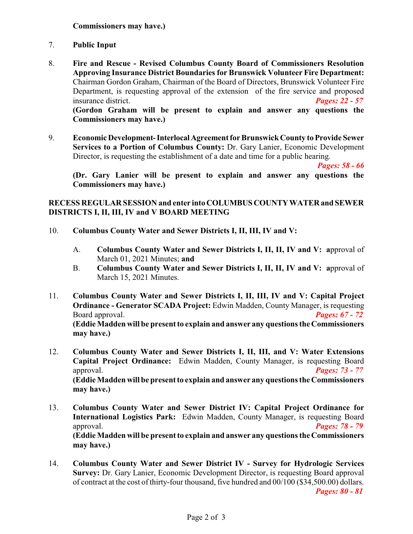- 7. **Public Input**
- 8. **Fire and Rescue - Revised Columbus County Board of Commissioners Resolution Approving Insurance District Boundaries for Brunswick Volunteer Fire Department:** Chairman Gordon Graham, Chairman of the Board of Directors, Brunswick Volunteer Fire Department, is requesting approval of the extension of the fire service and proposed insurance district. *Pages: 22 - 57* **(Gordon Graham will be present to explain and answer any questions the**

**Commissioners may have.)**

9. **Economic Development-InterlocalAgreement for Brunswick County to Provide Sewer Services to a Portion of Columbus County:** Dr. Gary Lanier, Economic Development Director, is requesting the establishment of a date and time for a public hearing.

*Pages: 58 - 66*

**(Dr. Gary Lanier will be present to explain and answer any questions the Commissioners may have.)**

#### **RECESS REGULAR SESSION and enter intoCOLUMBUSCOUNTYWATERand SEWER DISTRICTS I, II, III, IV and V BOARD MEETING**

- 10. **Columbus County Water and Sewer Districts I, II, III, IV and V:**
	- A. **Columbus County Water and Sewer Districts I, II, II, IV and V: a**pproval of March 01, 2021 Minutes; **and**
	- B. **Columbus County Water and Sewer Districts I, II, II, IV and V: a**pproval of March 15, 2021 Minutes.
- 11. **Columbus County Water and Sewer Districts I, II, III, IV and V: Capital Project Ordinance - Generator SCADA Project:** Edwin Madden, County Manager, is requesting Board approval. *Pages: 67 - 72* **(Eddie Madden will be present to explain and answer any questions the Commissioners may have.)**
- 12. **Columbus County Water and Sewer Districts I, II, III, and V: Water Extensions Capital Project Ordinance:** Edwin Madden, County Manager, is requesting Board approval. *Pages: 73 - 77* **(Eddie Madden will be present to explain and answer any questions the Commissioners may have.)**
- 13. **Columbus County Water and Sewer District IV: Capital Project Ordinance for International Logistics Park:** Edwin Madden, County Manager, is requesting Board approval. *Pages: 78 - 79* **(Eddie Madden will be present to explain and answer any questions the Commissioners may have.)**
- 14. **Columbus County Water and Sewer District IV Survey for Hydrologic Services Survey:** Dr. Gary Lanier, Economic Development Director, is requesting Board approval of contract at the cost of thirty-four thousand, five hundred and 00/100 (\$34,500.00) dollars.

*Pages: 80 - 81*